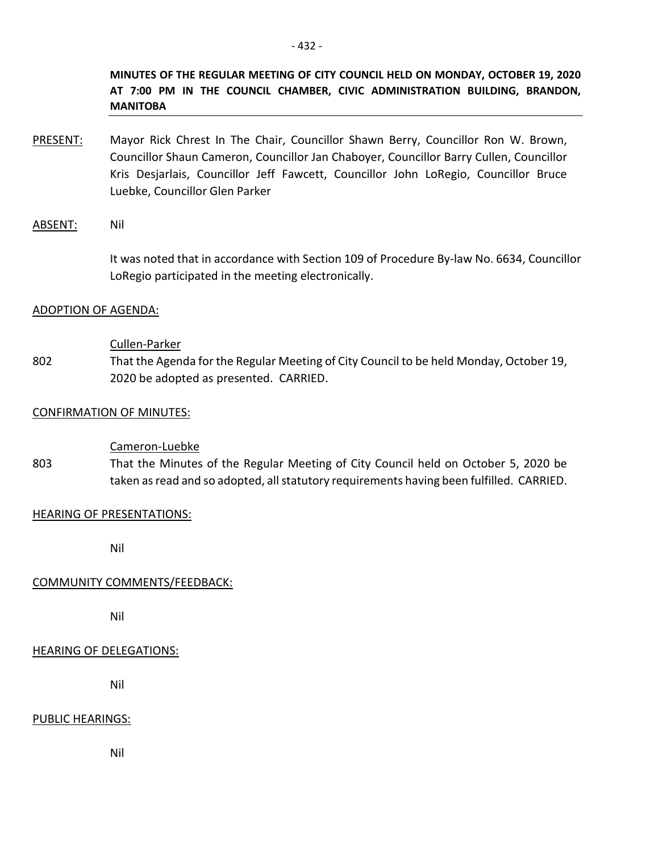**MINUTES OF THE REGULAR MEETING OF CITY COUNCIL HELD ON MONDAY, OCTOBER 19, 2020 AT 7:00 PM IN THE COUNCIL CHAMBER, CIVIC ADMINISTRATION BUILDING, BRANDON, MANITOBA**

PRESENT: Mayor Rick Chrest In The Chair, Councillor Shawn Berry, Councillor Ron W. Brown, Councillor Shaun Cameron, Councillor Jan Chaboyer, Councillor Barry Cullen, Councillor Kris Desjarlais, Councillor Jeff Fawcett, Councillor John LoRegio, Councillor Bruce Luebke, Councillor Glen Parker

## ABSENT: Nil

It was noted that in accordance with Section 109 of Procedure By-law No. 6634, Councillor LoRegio participated in the meeting electronically.

## ADOPTION OF AGENDA:

#### Cullen-Parker

802 That the Agenda for the Regular Meeting of City Council to be held Monday, October 19, 2020 be adopted as presented. CARRIED.

## CONFIRMATION OF MINUTES:

## Cameron-Luebke

803 That the Minutes of the Regular Meeting of City Council held on October 5, 2020 be taken as read and so adopted, all statutory requirements having been fulfilled. CARRIED.

#### HEARING OF PRESENTATIONS:

Nil

## COMMUNITY COMMENTS/FEEDBACK:

Nil

## HEARING OF DELEGATIONS:

Nil

## PUBLIC HEARINGS:

Nil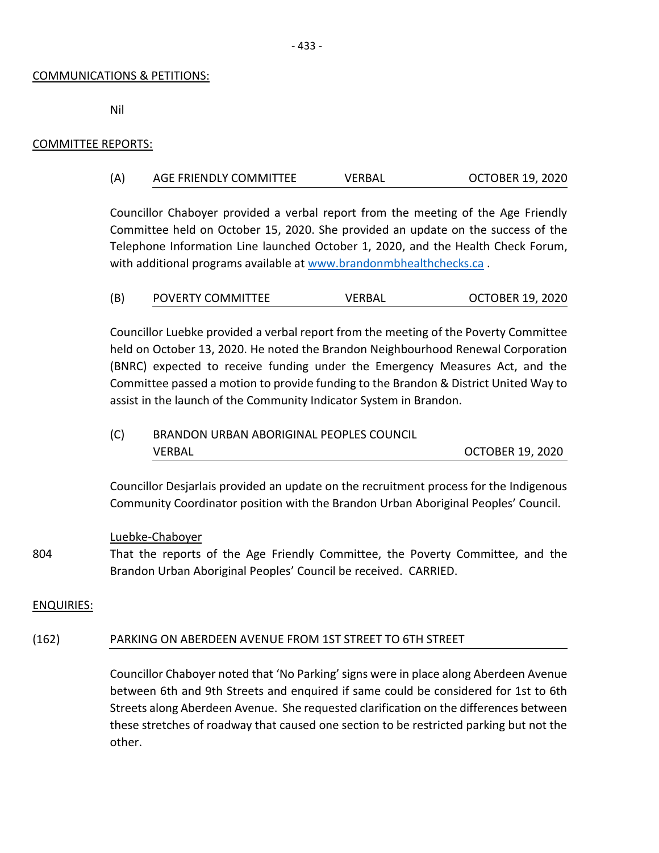#### COMMUNICATIONS & PETITIONS:

Nil

## COMMITTEE REPORTS:

## (A) AGE FRIENDLY COMMITTEE VERBAL OCTOBER 19, 2020

Councillor Chaboyer provided a verbal report from the meeting of the Age Friendly Committee held on October 15, 2020. She provided an update on the success of the Telephone Information Line launched October 1, 2020, and the Health Check Forum, with additional programs available at [www.brandonmbhealthchecks.ca](http://www.brandonmbhealthchecks.ca/) .

| (B) | <b>POVERTY COMMITTEE</b> | <b>VERBAL</b> | <b>OCTOBER 19, 2020</b> |
|-----|--------------------------|---------------|-------------------------|
|-----|--------------------------|---------------|-------------------------|

Councillor Luebke provided a verbal report from the meeting of the Poverty Committee held on October 13, 2020. He noted the Brandon Neighbourhood Renewal Corporation (BNRC) expected to receive funding under the Emergency Measures Act, and the Committee passed a motion to provide funding to the Brandon & District United Way to assist in the launch of the Community Indicator System in Brandon.

(C) BRANDON URBAN ABORIGINAL PEOPLES COUNCIL VERBAL OCTOBER 19, 2020

Councillor Desjarlais provided an update on the recruitment process for the Indigenous Community Coordinator position with the Brandon Urban Aboriginal Peoples' Council.

#### Luebke-Chaboyer

804 That the reports of the Age Friendly Committee, the Poverty Committee, and the Brandon Urban Aboriginal Peoples' Council be received. CARRIED.

## ENQUIRIES:

## (162) PARKING ON ABERDEEN AVENUE FROM 1ST STREET TO 6TH STREET

Councillor Chaboyer noted that 'No Parking'signs were in place along Aberdeen Avenue between 6th and 9th Streets and enquired if same could be considered for 1st to 6th Streets along Aberdeen Avenue. She requested clarification on the differences between these stretches of roadway that caused one section to be restricted parking but not the other.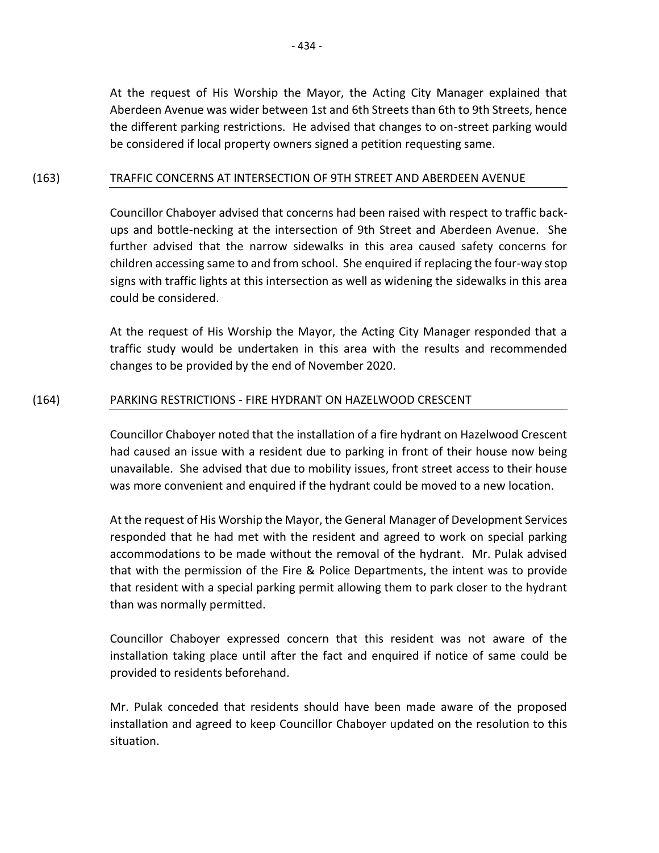At the request of His Worship the Mayor, the Acting City Manager explained that Aberdeen Avenue was wider between 1st and 6th Streets than 6th to 9th Streets, hence the different parking restrictions. He advised that changes to on-street parking would be considered if local property owners signed a petition requesting same.

## (163) TRAFFIC CONCERNS AT INTERSECTION OF 9TH STREET AND ABERDEEN AVENUE

Councillor Chaboyer advised that concerns had been raised with respect to traffic backups and bottle-necking at the intersection of 9th Street and Aberdeen Avenue. She further advised that the narrow sidewalks in this area caused safety concerns for children accessing same to and from school. She enquired if replacing the four-way stop signs with traffic lights at this intersection as well as widening the sidewalks in this area could be considered.

At the request of His Worship the Mayor, the Acting City Manager responded that a traffic study would be undertaken in this area with the results and recommended changes to be provided by the end of November 2020.

## (164) PARKING RESTRICTIONS - FIRE HYDRANT ON HAZELWOOD CRESCENT

Councillor Chaboyer noted that the installation of a fire hydrant on Hazelwood Crescent had caused an issue with a resident due to parking in front of their house now being unavailable. She advised that due to mobility issues, front street access to their house was more convenient and enquired if the hydrant could be moved to a new location.

At the request of His Worship the Mayor, the General Manager of Development Services responded that he had met with the resident and agreed to work on special parking accommodations to be made without the removal of the hydrant. Mr. Pulak advised that with the permission of the Fire & Police Departments, the intent was to provide that resident with a special parking permit allowing them to park closer to the hydrant than was normally permitted.

Councillor Chaboyer expressed concern that this resident was not aware of the installation taking place until after the fact and enquired if notice of same could be provided to residents beforehand.

Mr. Pulak conceded that residents should have been made aware of the proposed installation and agreed to keep Councillor Chaboyer updated on the resolution to this situation.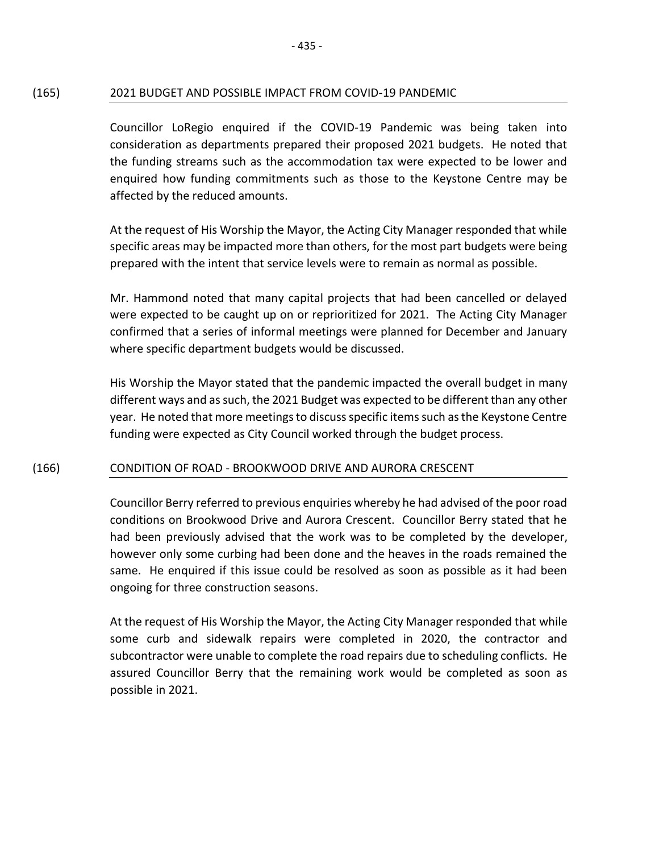## (165) 2021 BUDGET AND POSSIBLE IMPACT FROM COVID-19 PANDEMIC

Councillor LoRegio enquired if the COVID-19 Pandemic was being taken into consideration as departments prepared their proposed 2021 budgets. He noted that the funding streams such as the accommodation tax were expected to be lower and enquired how funding commitments such as those to the Keystone Centre may be affected by the reduced amounts.

At the request of His Worship the Mayor, the Acting City Manager responded that while specific areas may be impacted more than others, for the most part budgets were being prepared with the intent that service levels were to remain as normal as possible.

Mr. Hammond noted that many capital projects that had been cancelled or delayed were expected to be caught up on or reprioritized for 2021. The Acting City Manager confirmed that a series of informal meetings were planned for December and January where specific department budgets would be discussed.

His Worship the Mayor stated that the pandemic impacted the overall budget in many different ways and as such, the 2021 Budget was expected to be different than any other year. He noted that more meetings to discuss specific items such as the Keystone Centre funding were expected as City Council worked through the budget process.

## (166) CONDITION OF ROAD - BROOKWOOD DRIVE AND AURORA CRESCENT

Councillor Berry referred to previous enquiries whereby he had advised of the poor road conditions on Brookwood Drive and Aurora Crescent. Councillor Berry stated that he had been previously advised that the work was to be completed by the developer, however only some curbing had been done and the heaves in the roads remained the same. He enquired if this issue could be resolved as soon as possible as it had been ongoing for three construction seasons.

At the request of His Worship the Mayor, the Acting City Manager responded that while some curb and sidewalk repairs were completed in 2020, the contractor and subcontractor were unable to complete the road repairs due to scheduling conflicts. He assured Councillor Berry that the remaining work would be completed as soon as possible in 2021.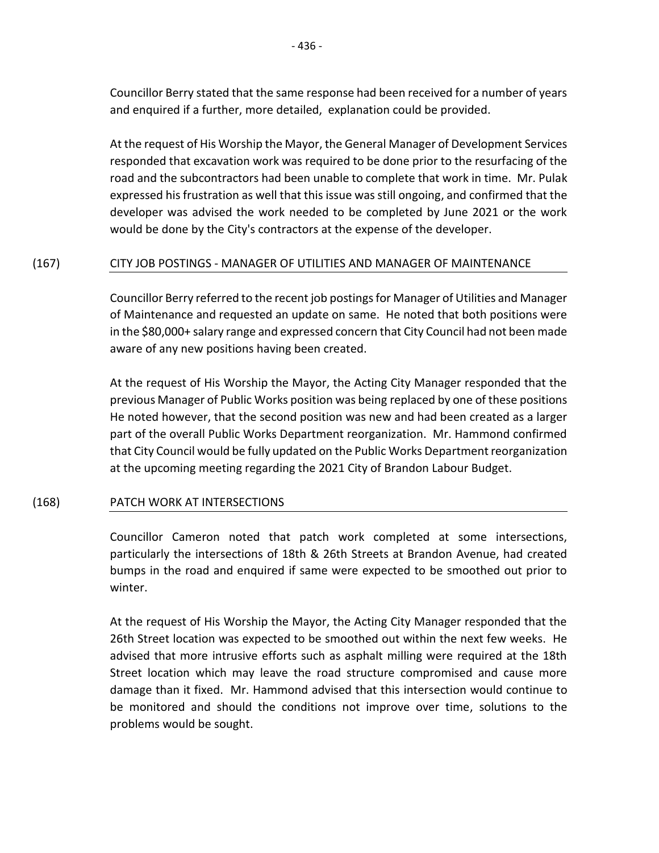Councillor Berry stated that the same response had been received for a number of years and enquired if a further, more detailed, explanation could be provided.

At the request of His Worship the Mayor, the General Manager of Development Services responded that excavation work was required to be done prior to the resurfacing of the road and the subcontractors had been unable to complete that work in time. Mr. Pulak expressed his frustration as well that this issue was still ongoing, and confirmed that the developer was advised the work needed to be completed by June 2021 or the work would be done by the City's contractors at the expense of the developer.

## (167) CITY JOB POSTINGS - MANAGER OF UTILITIES AND MANAGER OF MAINTENANCE

Councillor Berry referred to the recent job postings for Manager of Utilities and Manager of Maintenance and requested an update on same. He noted that both positions were in the \$80,000+ salary range and expressed concern that City Council had not been made aware of any new positions having been created.

At the request of His Worship the Mayor, the Acting City Manager responded that the previous Manager of Public Works position was being replaced by one of these positions He noted however, that the second position was new and had been created as a larger part of the overall Public Works Department reorganization. Mr. Hammond confirmed that City Council would be fully updated on the Public Works Department reorganization at the upcoming meeting regarding the 2021 City of Brandon Labour Budget.

## (168) PATCH WORK AT INTERSECTIONS

Councillor Cameron noted that patch work completed at some intersections, particularly the intersections of 18th & 26th Streets at Brandon Avenue, had created bumps in the road and enquired if same were expected to be smoothed out prior to winter.

At the request of His Worship the Mayor, the Acting City Manager responded that the 26th Street location was expected to be smoothed out within the next few weeks. He advised that more intrusive efforts such as asphalt milling were required at the 18th Street location which may leave the road structure compromised and cause more damage than it fixed. Mr. Hammond advised that this intersection would continue to be monitored and should the conditions not improve over time, solutions to the problems would be sought.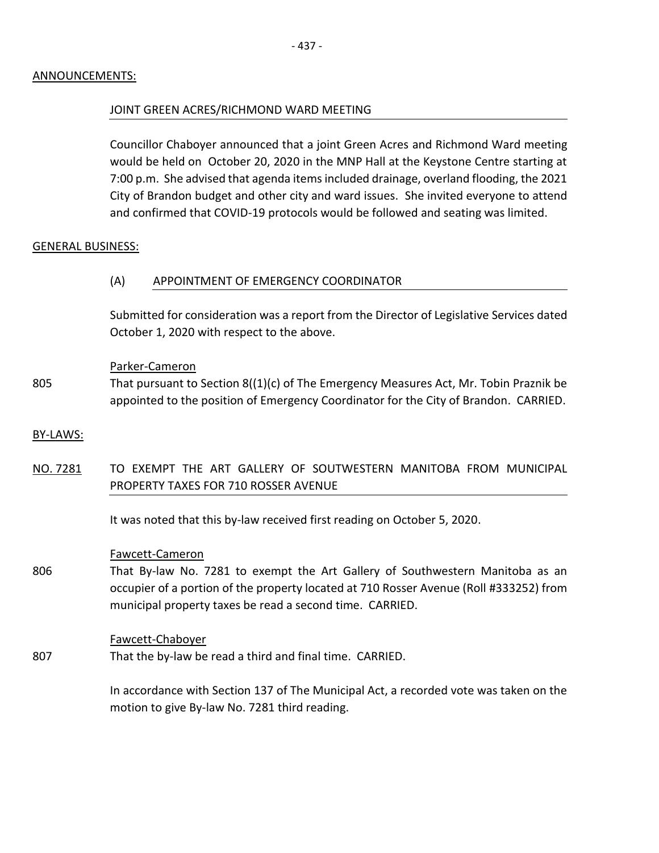## ANNOUNCEMENTS:

#### JOINT GREEN ACRES/RICHMOND WARD MEETING

Councillor Chaboyer announced that a joint Green Acres and Richmond Ward meeting would be held on October 20, 2020 in the MNP Hall at the Keystone Centre starting at 7:00 p.m. She advised that agenda items included drainage, overland flooding, the 2021 City of Brandon budget and other city and ward issues. She invited everyone to attend and confirmed that COVID-19 protocols would be followed and seating was limited.

## GENERAL BUSINESS:

## (A) APPOINTMENT OF EMERGENCY COORDINATOR

Submitted for consideration was a report from the Director of Legislative Services dated October 1, 2020 with respect to the above.

#### Parker-Cameron

805 That pursuant to Section 8((1)(c) of The Emergency Measures Act, Mr. Tobin Praznik be appointed to the position of Emergency Coordinator for the City of Brandon. CARRIED.

#### BY-LAWS:

NO. 7281 TO EXEMPT THE ART GALLERY OF SOUTWESTERN MANITOBA FROM MUNICIPAL PROPERTY TAXES FOR 710 ROSSER AVENUE

It was noted that this by-law received first reading on October 5, 2020.

#### Fawcett-Cameron

806 That By-law No. 7281 to exempt the Art Gallery of Southwestern Manitoba as an occupier of a portion of the property located at 710 Rosser Avenue (Roll #333252) from municipal property taxes be read a second time. CARRIED.

#### Fawcett-Chaboyer

807 That the by-law be read a third and final time. CARRIED.

> In accordance with Section 137 of The Municipal Act, a recorded vote was taken on the motion to give By-law No. 7281 third reading.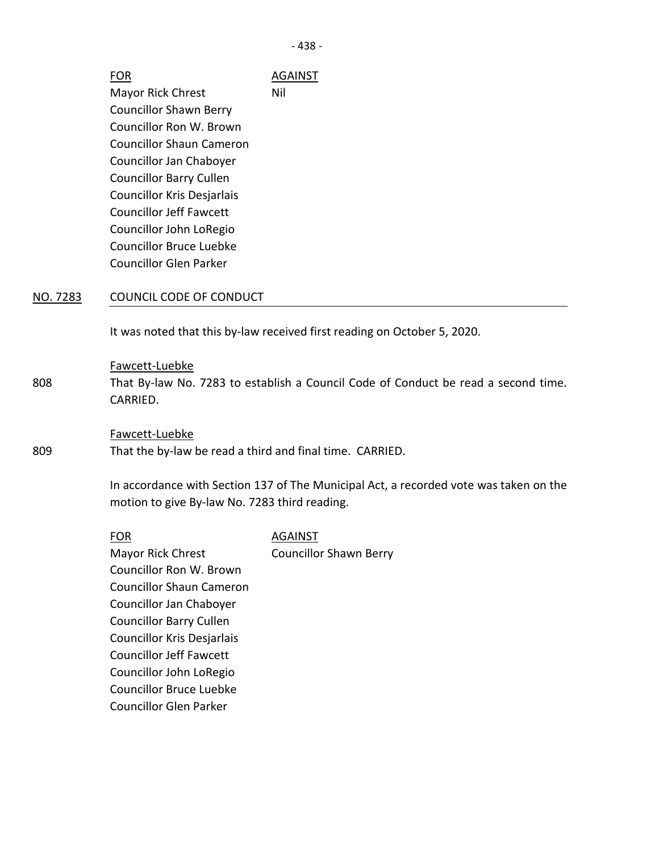- 438 -

|                                | AGAINST |
|--------------------------------|---------|
| <b>Mayor Rick Chrest</b>       | Nil     |
| <b>Councillor Shawn Berry</b>  |         |
| Councillor Ron W. Brown        |         |
| Councillor Shaun Cameron       |         |
| Councillor Jan Chaboyer        |         |
| <b>Councillor Barry Cullen</b> |         |
| Councillor Kris Desjarlais     |         |
| <b>Councillor Jeff Fawcett</b> |         |
| Councillor John LoRegio        |         |
| Councillor Bruce Luebke        |         |
| <b>Councillor Glen Parker</b>  |         |

## NO. 7283 COUNCIL CODE OF CONDUCT

It was noted that this by-law received first reading on October 5, 2020.

#### Fawcett-Luebke

808 That By-law No. 7283 to establish a Council Code of Conduct be read a second time. CARRIED.

#### Fawcett-Luebke

That the by-law be read a third and final time. CARRIED.

In accordance with Section 137 of The Municipal Act, a recorded vote was taken on the motion to give By-law No. 7283 third reading.

809

FOR AGAINST

Mayor Rick Chrest Councillor Ron W. Brown Councillor Shaun Cameron Councillor Jan Chaboyer Councillor Barry Cullen Councillor Kris Desjarlais Councillor Jeff Fawcett Councillor John LoRegio Councillor Bruce Luebke Councillor Glen Parker Councillor Shawn Berry